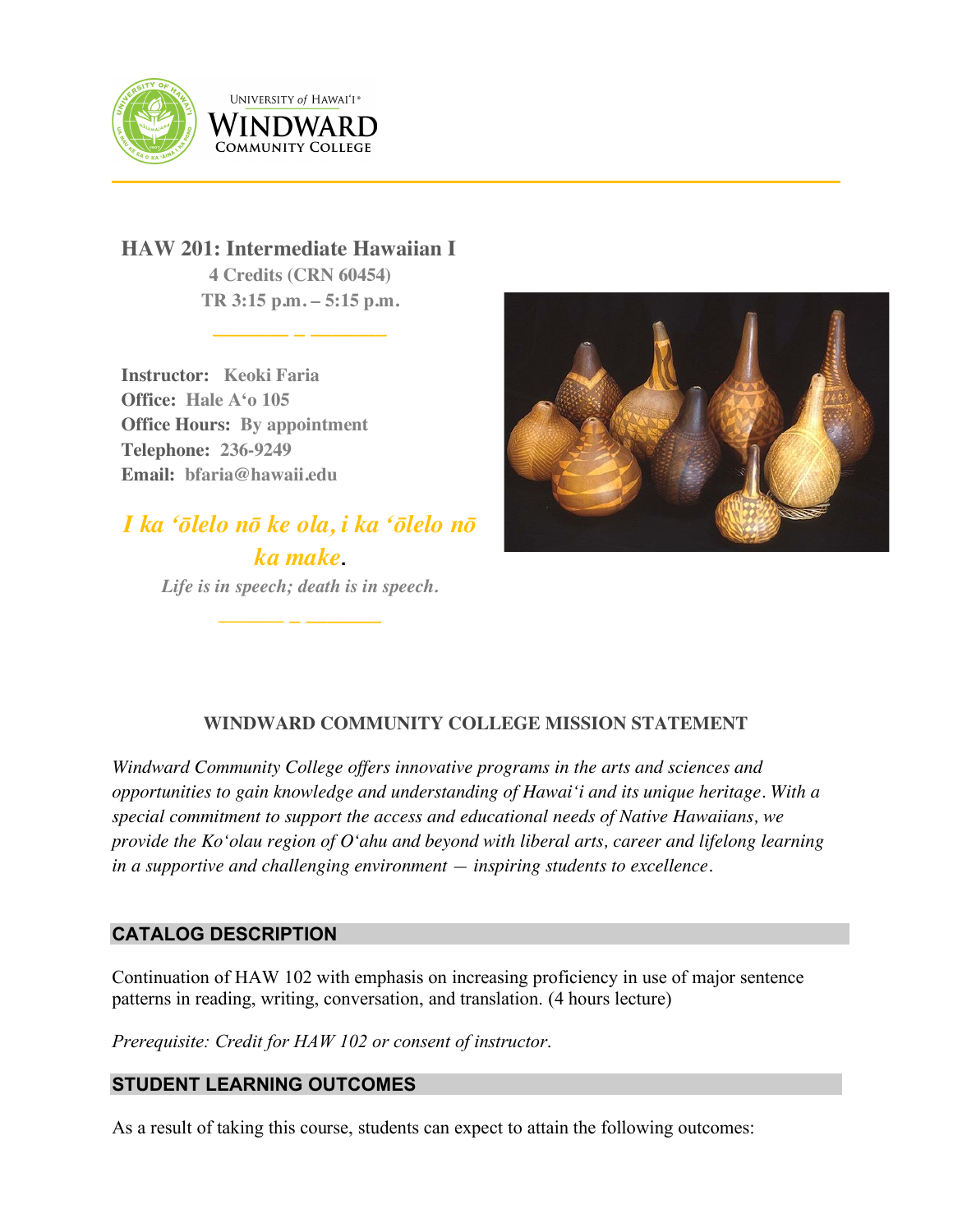

UNIVERSITY of HAWAI'I® WINDWARD **COMMUNITY COLLEGE** 

**HAW 201: Intermediate Hawaiian I 4 Credits (CRN 60454) TR 3:15 p.m. – 5:15 p.m.**

**\_\_\_\_\_\_\_ \_ \_\_\_\_\_\_\_**

**Instructor: Keoki Faria Office: Hale Aʻo 105 Office Hours: By appointment Telephone: 236-9249 Email: bfaria@hawaii.edu**

# *I ka ʻōlelo nō ke ola, i ka ʻōlelo nō ka make***.** *Life is in speech; death is in speech.*

**\_\_\_\_\_\_\_ \_ \_\_\_\_\_\_\_**



# **WINDWARD COMMUNITY COLLEGE MISSION STATEMENT**

*Windward Community College offers innovative programs in the arts and sciences and opportunities to gain knowledge and understanding of Hawai'i and its unique heritage. With a special commitment to support the access and educational needs of Native Hawaiians, we provide the Ko'olau region of Oʻahu and beyond with liberal arts, career and lifelong learning in a supportive and challenging environment — inspiring students to excellence.*

# **CATALOG DESCRIPTION**

Continuation of HAW 102 with emphasis on increasing proficiency in use of major sentence patterns in reading, writing, conversation, and translation. (4 hours lecture)

*Prerequisite: Credit for HAW 102 or consent of instructor*.

# **STUDENT LEARNING OUTCOMES**

As a result of taking this course, students can expect to attain the following outcomes: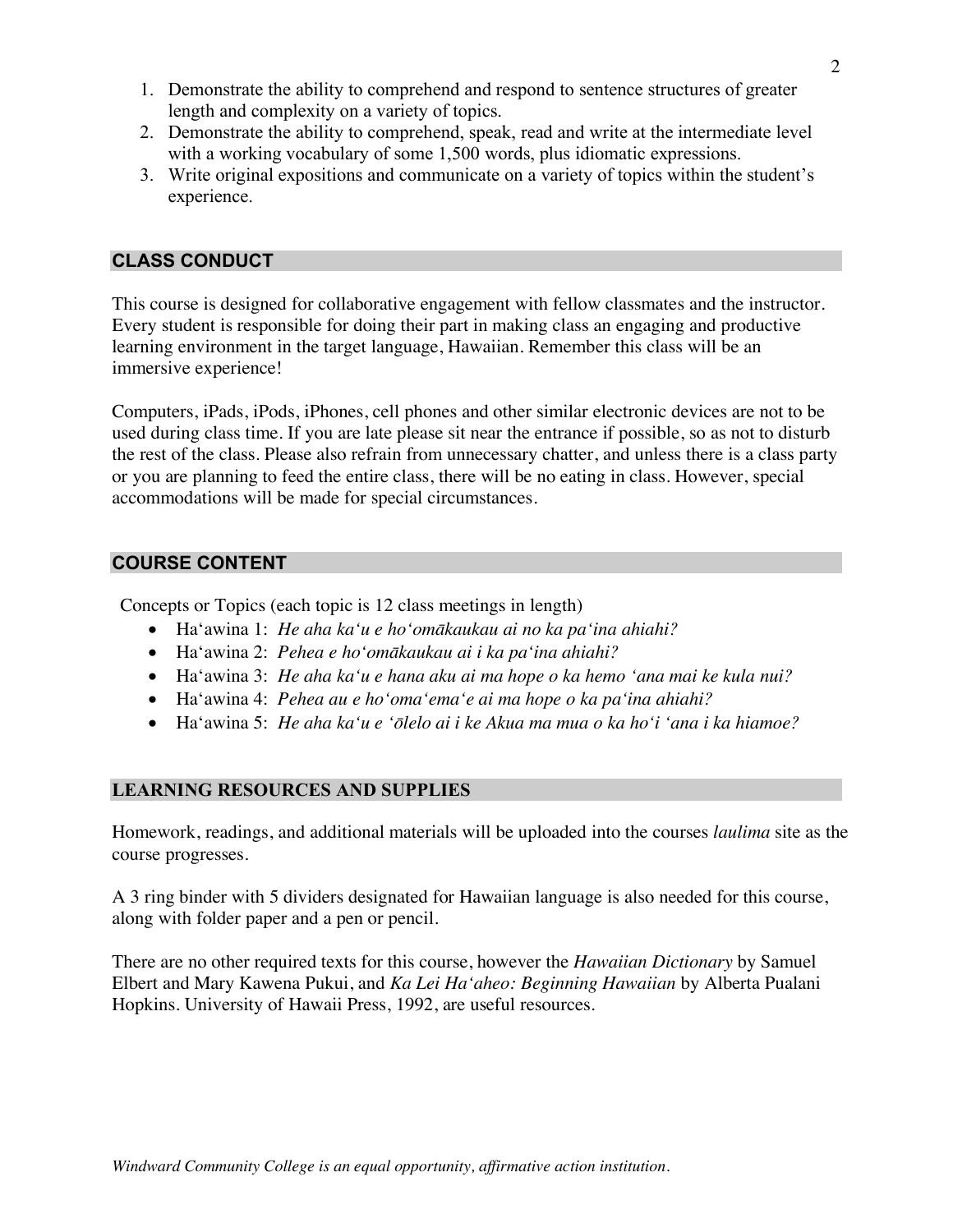- 1. Demonstrate the ability to comprehend and respond to sentence structures of greater length and complexity on a variety of topics.
- 2. Demonstrate the ability to comprehend, speak, read and write at the intermediate level with a working vocabulary of some 1,500 words, plus idiomatic expressions.
- 3. Write original expositions and communicate on a variety of topics within the student's experience.

## **CLASS CONDUCT**

This course is designed for collaborative engagement with fellow classmates and the instructor. Every student is responsible for doing their part in making class an engaging and productive learning environment in the target language, Hawaiian. Remember this class will be an immersive experience!

Computers, iPads, iPods, iPhones, cell phones and other similar electronic devices are not to be used during class time. If you are late please sit near the entrance if possible, so as not to disturb the rest of the class. Please also refrain from unnecessary chatter, and unless there is a class party or you are planning to feed the entire class, there will be no eating in class. However, special accommodations will be made for special circumstances.

## **COURSE CONTENT**

Concepts or Topics (each topic is 12 class meetings in length)

- Haʻawina 1: *He aha kaʻu e hoʻomākaukau ai no ka paʻina ahiahi?*
- Haʻawina 2: *Pehea e hoʻomākaukau ai i ka paʻina ahiahi?*
- Haʻawina 3: *He aha kaʻu e hana aku ai ma hope o ka hemo ʻana mai ke kula nui?*
- Haʻawina 4: *Pehea au e hoʻomaʻemaʻe ai ma hope o ka paʻina ahiahi?*
- Haʻawina 5: *He aha kaʻu e ʻōlelo ai i ke Akua ma mua o ka hoʻi ʻana i ka hiamoe?*

## **LEARNING RESOURCES AND SUPPLIES**

Homework, readings, and additional materials will be uploaded into the courses *laulima* site as the course progresses.

A 3 ring binder with 5 dividers designated for Hawaiian language is also needed for this course, along with folder paper and a pen or pencil.

There are no other required texts for this course, however the *Hawaiian Dictionary* by Samuel Elbert and Mary Kawena Pukui, and *Ka Lei Haʻaheo: Beginning Hawaiian* by Alberta Pualani Hopkins. University of Hawaii Press, 1992, are useful resources.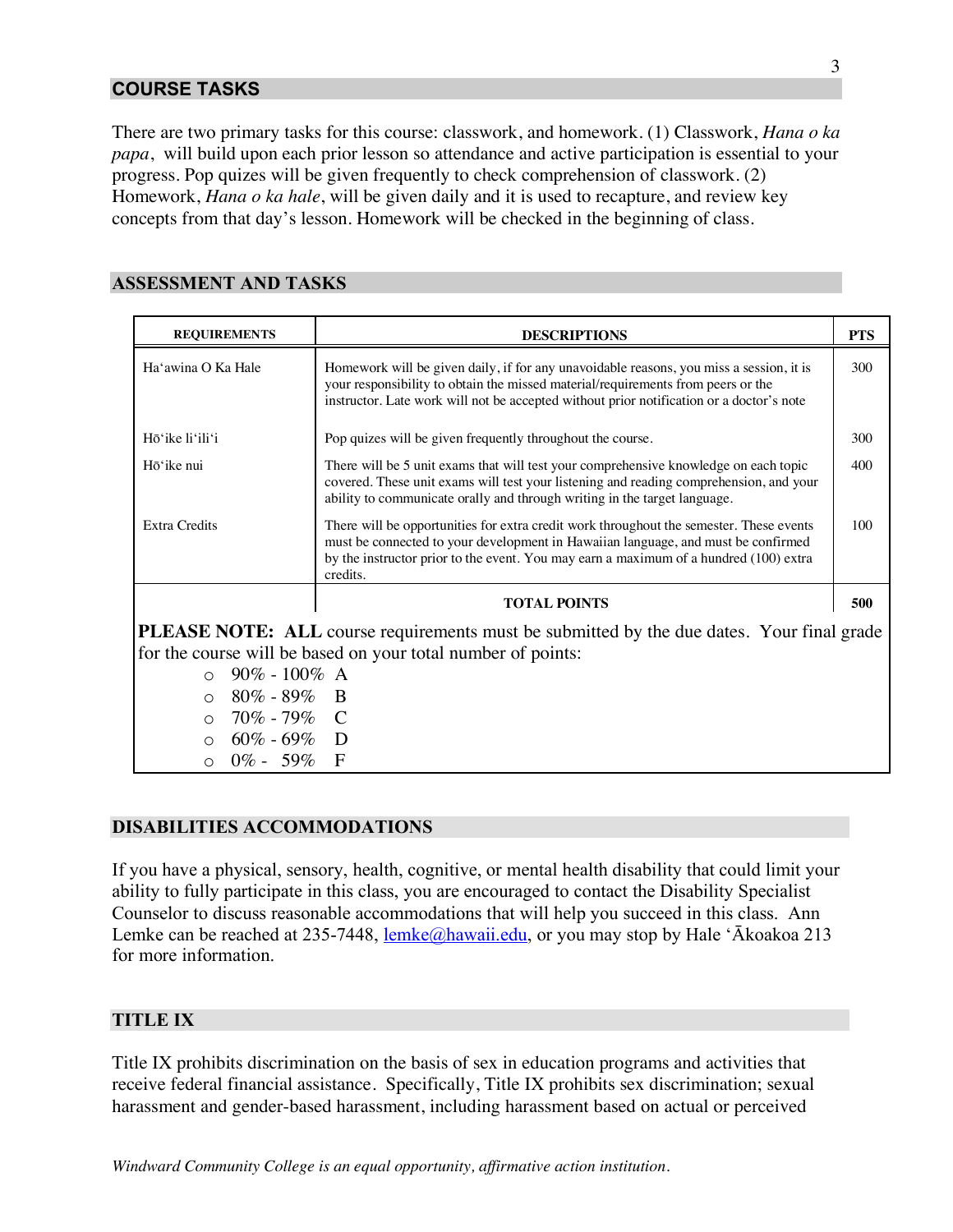## **COURSE TASKS**

There are two primary tasks for this course: classwork, and homework. (1) Classwork, *Hana o ka papa*, will build upon each prior lesson so attendance and active participation is essential to your progress. Pop quizes will be given frequently to check comprehension of classwork. (2) Homework, *Hana o ka hale*, will be given daily and it is used to recapture, and review key concepts from that day's lesson. Homework will be checked in the beginning of class.

## **ASSESSMENT AND TASKS**

| <b>REQUIREMENTS</b>                                                                                                                                                                                                                                                                                  | <b>DESCRIPTIONS</b>                                                                                                                                                                                                                                                               | <b>PTS</b> |
|------------------------------------------------------------------------------------------------------------------------------------------------------------------------------------------------------------------------------------------------------------------------------------------------------|-----------------------------------------------------------------------------------------------------------------------------------------------------------------------------------------------------------------------------------------------------------------------------------|------------|
| Ha'awina O Ka Hale                                                                                                                                                                                                                                                                                   | Homework will be given daily, if for any unavoidable reasons, you miss a session, it is<br>your responsibility to obtain the missed material/requirements from peers or the<br>instructor. Late work will not be accepted without prior notification or a doctor's note           | 300        |
| Hō'ike li'ili'i                                                                                                                                                                                                                                                                                      | Pop quizes will be given frequently throughout the course.                                                                                                                                                                                                                        | 300        |
| Hō'ike nui                                                                                                                                                                                                                                                                                           | There will be 5 unit exams that will test your comprehensive knowledge on each topic<br>covered. These unit exams will test your listening and reading comprehension, and your<br>ability to communicate orally and through writing in the target language.                       | 400        |
| <b>Extra Credits</b>                                                                                                                                                                                                                                                                                 | There will be opportunities for extra credit work throughout the semester. These events<br>must be connected to your development in Hawaiian language, and must be confirmed<br>by the instructor prior to the event. You may earn a maximum of a hundred (100) extra<br>credits. | 100        |
|                                                                                                                                                                                                                                                                                                      | <b>TOTAL POINTS</b>                                                                                                                                                                                                                                                               | 500        |
| <b>PLEASE NOTE:</b> ALL course requirements must be submitted by the due dates. Your final grade<br>for the course will be based on your total number of points:<br>$90\% - 100\%$ A<br>$\circ$<br>$80\% - 89\%$ B<br>$\circ$<br>$\circ$ 70% - 79% C<br>$60\% - 69\%$ D<br>$\circ$<br>$0\% - 59\%$ F |                                                                                                                                                                                                                                                                                   |            |

#### **DISABILITIES ACCOMMODATIONS**

If you have a physical, sensory, health, cognitive, or mental health disability that could limit your ability to fully participate in this class, you are encouraged to contact the Disability Specialist Counselor to discuss reasonable accommodations that will help you succeed in this class. Ann Lemke can be reached at 235-7448, lemke@hawaii.edu, or you may stop by Hale 'Ākoakoa 213 for more information.

#### **TITLE IX**

Title IX prohibits discrimination on the basis of sex in education programs and activities that receive federal financial assistance. Specifically, Title IX prohibits sex discrimination; sexual harassment and gender-based harassment, including harassment based on actual or perceived